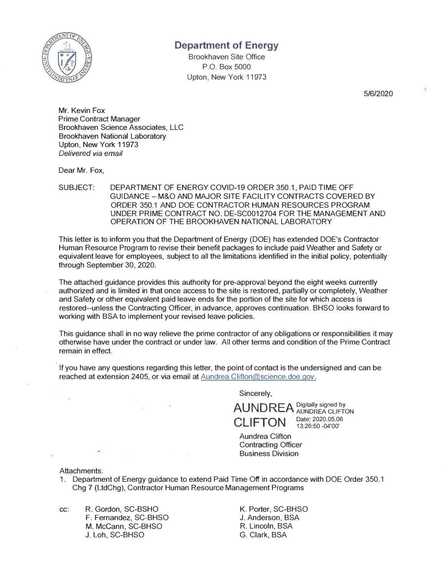

## **Department of Energy**

Brookhaven Site Office P.O. Box 5000 Upton, New York 11973

5/6/2020

Mr. Kevin Fox Prime Contract Manager Brookhaven Science Associates, LLC Brookhaven National Laboratory Upton, New York 11973 *Delivered via email* 

Dear Mr. Fox,

SUBJECT: DEPARTMENT OF ENERGY COVID-19 ORDER 350.1, PAID TIME OFF GUIDANCE - M&O AND MAJOR SITE FACILITY CONTRACTS COVERED BY ORDER 350.1 AND DOE CONTRACTOR HUMAN RESOURCES PROGRAM UNDER PRIME CONTRACT NO. DE-SC0012704 FOR THE MANAGEMENT AND OPERATION OF THE BROOKHAVEN NATIONAL LABORATORY

This letter is to inform you that the Department of Energy (DOE) has extended DOE's Contractor Human Resource Program to revise their benefit packages to include paid Weather and Safety or equivalent leave for employees, subject to all the limitations identified in the initial policy, potentially through September 30, 2020.

The attached guidance provides this authority for pre-approval beyond the eight weeks currently authorized and is limited in that once access to the site is restored, partially or completely, Weather and Safety or other equivalent paid leave ends for the portion of the site for which access is restored-unless the Contracting Officer, in advance, approves continuation. BHSO looks forward to working with BSA to implement your revised leave policies.

This guidance shall in no way relieve the prime contractor of any obligations or responsibilities it may otherwise have under the contract or under law. All other terms and condition of the Prime Contract remain in effect.

If you have any questions regarding this letter, the point of contact is the undersigned and can be reached at extension 2405, or via email at Aundrea.Clifton@science.doe.gov.

Sincerely,

AUNDREA Digitally signed by **CLIFTON** Date: 2020.05.06

13:26:50 -04'00'

Aundrea Clifton Contracting Officer Business Division

Attachments:

1. Department of Energy guidance to extend Paid Time Off in accordance with DOE Order 350.1 Chg 7 (LtdChg), Contractor Human Resource Management Programs

cc: R. Gordon, SC-BSHO F. Fernandez, SC-BHSO M. Mccann, SC-BHSO J. Loh, SC-BHSO

K. Porter, SC-BHSO J. Anderson, BSA R. Lincoln, BSA G. Clark, BSA